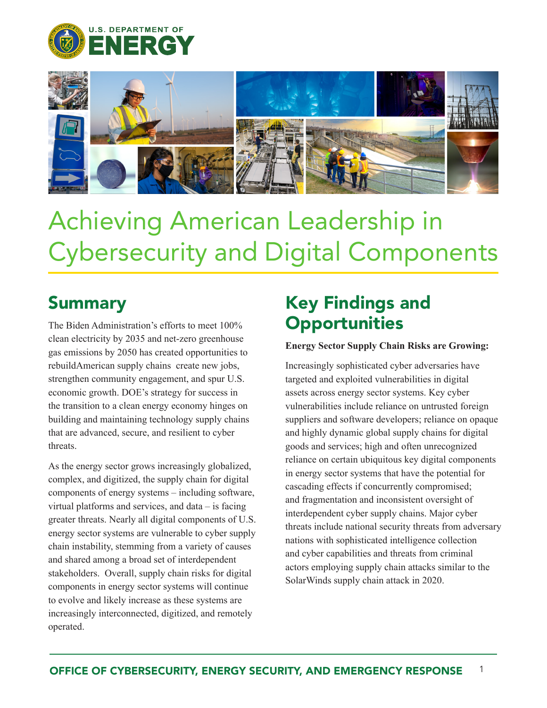



# Achieving American Leadership in Cybersecurity and Digital Components

# **Summary**

The Biden Administration's efforts to meet 100% clean electricity by 2035 and net-zero greenhouse gas emissions by 2050 has created opportunities to rebuildAmerican supply chains create new jobs, strengthen community engagement, and spur U.S. economic growth. DOE's strategy for success in the transition to a clean energy economy hinges on building and maintaining technology supply chains that are advanced, secure, and resilient to cyber threats.

As the energy sector grows increasingly globalized, complex, and digitized, the supply chain for digital components of energy systems – including software, virtual platforms and services, and data – is facing greater threats. Nearly all digital components of U.S. energy sector systems are vulnerable to cyber supply chain instability, stemming from a variety of causes and shared among a broad set of interdependent stakeholders. Overall, supply chain risks for digital components in energy sector systems will continue to evolve and likely increase as these systems are increasingly interconnected, digitized, and remotely operated.

# Key Findings and **Opportunities**

### **Energy Sector Supply Chain Risks are Growing:**

Increasingly sophisticated cyber adversaries have targeted and exploited vulnerabilities in digital assets across energy sector systems. Key cyber vulnerabilities include reliance on untrusted foreign suppliers and software developers; reliance on opaque and highly dynamic global supply chains for digital goods and services; high and often unrecognized reliance on certain ubiquitous key digital components in energy sector systems that have the potential for cascading effects if concurrently compromised; and fragmentation and inconsistent oversight of interdependent cyber supply chains. Major cyber threats include national security threats from adversary nations with sophisticated intelligence collection and cyber capabilities and threats from criminal actors employing supply chain attacks similar to the SolarWinds supply chain attack in 2020.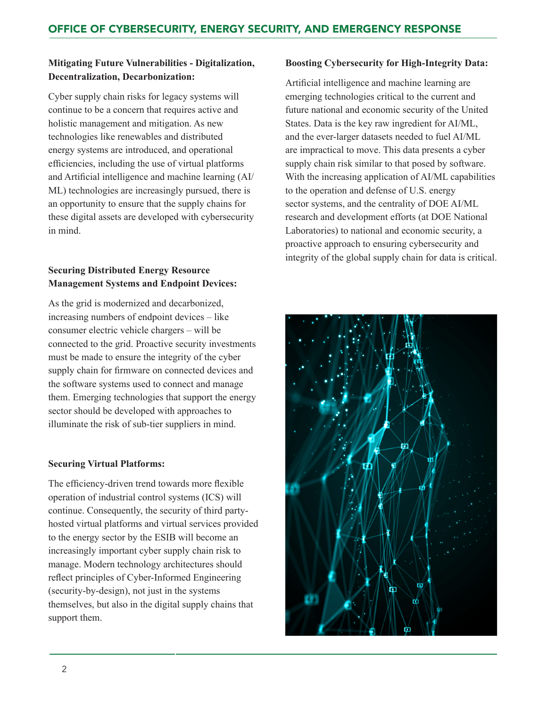### **Mitigating Future Vulnerabilities - Digitalization, Decentralization, Decarbonization:**

Cyber supply chain risks for legacy systems will continue to be a concern that requires active and holistic management and mitigation. As new technologies like renewables and distributed energy systems are introduced, and operational efficiencies, including the use of virtual platforms and Artificial intelligence and machine learning (AI/ ML) technologies are increasingly pursued, there is an opportunity to ensure that the supply chains for these digital assets are developed with cybersecurity in mind.

## **Securing Distributed Energy Resource Management Systems and Endpoint Devices:**

As the grid is modernized and decarbonized, increasing numbers of endpoint devices – like consumer electric vehicle chargers – will be connected to the grid. Proactive security investments must be made to ensure the integrity of the cyber supply chain for firmware on connected devices and the software systems used to connect and manage them. Emerging technologies that support the energy sector should be developed with approaches to illuminate the risk of sub-tier suppliers in mind.

#### **Securing Virtual Platforms:**

The efficiency-driven trend towards more flexible operation of industrial control systems (ICS) will continue. Consequently, the security of third partyhosted virtual platforms and virtual services provided to the energy sector by the ESIB will become an increasingly important cyber supply chain risk to manage. Modern technology architectures should reflect principles of Cyber-Informed Engineering (security-by-design), not just in the systems themselves, but also in the digital supply chains that support them.

#### **Boosting Cybersecurity for High-Integrity Data:**

Artificial intelligence and machine learning are emerging technologies critical to the current and future national and economic security of the United States. Data is the key raw ingredient for AI/ML, and the ever-larger datasets needed to fuel AI/ML are impractical to move. This data presents a cyber supply chain risk similar to that posed by software. With the increasing application of AI/ML capabilities to the operation and defense of U.S. energy sector systems, and the centrality of DOE AI/ML research and development efforts (at DOE National Laboratories) to national and economic security, a proactive approach to ensuring cybersecurity and integrity of the global supply chain for data is critical.